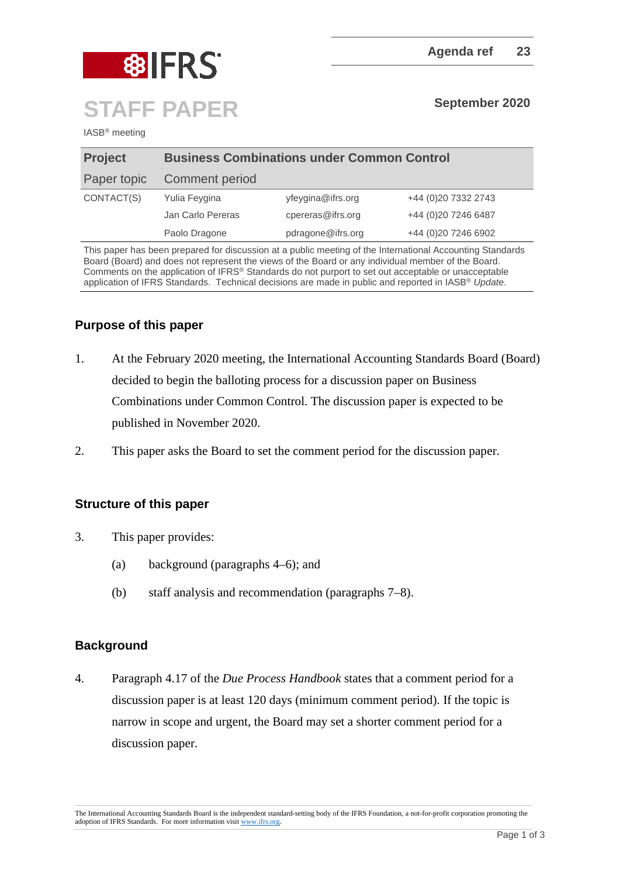

IASB® meeting

| <b>Project</b> | <b>Business Combinations under Common Control</b> |                   |                     |
|----------------|---------------------------------------------------|-------------------|---------------------|
| Paper topic    | Comment period                                    |                   |                     |
| CONTACT(S)     | Yulia Feygina                                     | yfeygina@ifrs.org | +44 (0)20 7332 2743 |
|                | Jan Carlo Pereras                                 | cpereras@ifrs.org | +44 (0)20 7246 6487 |
|                | Paolo Dragone                                     | pdragone@ifrs.org | +44 (0)20 7246 6902 |

This paper has been prepared for discussion at a public meeting of the International Accounting Standards Board (Board) and does not represent the views of the Board or any individual member of the Board. Comments on the application of IFRS® Standards do not purport to set out acceptable or unacceptable application of IFRS Standards. Technical decisions are made in public and reported in IASB® *Update*.

# **Purpose of this paper**

- 1. At the February 2020 meeting, the International Accounting Standards Board (Board) decided to begin the balloting process for a discussion paper on Business Combinations under Common Control. The discussion paper is expected to be published in November 2020.
- 2. This paper asks the Board to set the comment period for the discussion paper.

# **Structure of this paper**

- 3. This paper provides:
	- (a) background (paragraphs 4–6); and
	- (b) staff analysis and recommendation (paragraphs 7–8).

### **Background**

4. Paragraph 4.17 of the *Due Process Handbook* states that a comment period for a discussion paper is at least 120 days (minimum comment period). If the topic is narrow in scope and urgent, the Board may set a shorter comment period for a discussion paper.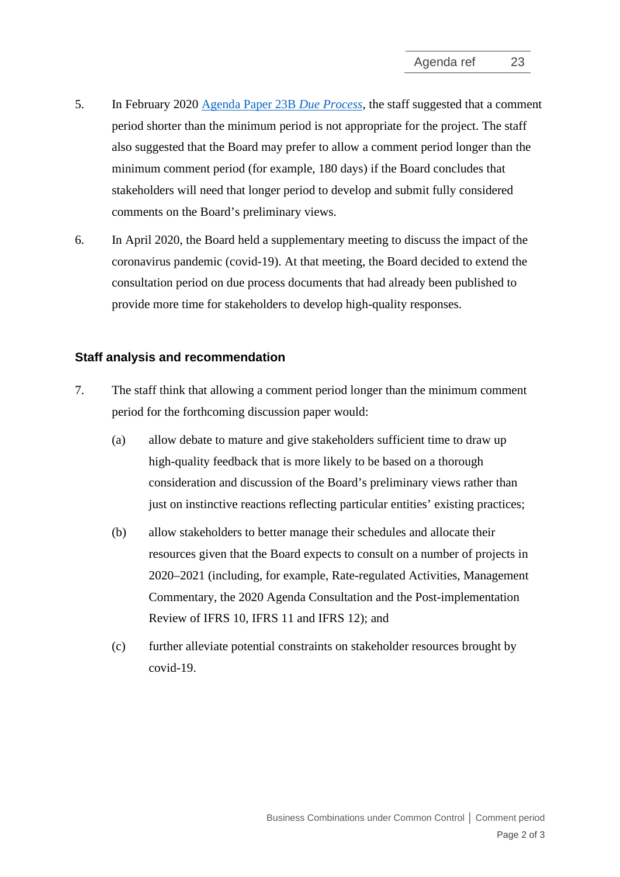- 5. In February 2020 [Agenda Paper 23B](https://cdn.ifrs.org/-/media/feature/meetings/2020/february/iasb/ap23b-bcucc.pdf) *[Due Process](https://cdn.ifrs.org/-/media/feature/meetings/2020/february/iasb/ap23b-bcucc.pdf)*, the staff suggested that a comment period shorter than the minimum period is not appropriate for the project. The staff also suggested that the Board may prefer to allow a comment period longer than the minimum comment period (for example, 180 days) if the Board concludes that stakeholders will need that longer period to develop and submit fully considered comments on the Board's preliminary views.
- 6. In April 2020, the Board held a supplementary meeting to discuss the impact of the coronavirus pandemic (covid-19). At that meeting, the Board decided to extend the consultation period on due process documents that had already been published to provide more time for stakeholders to develop high-quality responses.

## **Staff analysis and recommendation**

- 7. The staff think that allowing a comment period longer than the minimum comment period for the forthcoming discussion paper would:
	- (a) allow debate to mature and give stakeholders sufficient time to draw up high-quality feedback that is more likely to be based on a thorough consideration and discussion of the Board's preliminary views rather than just on instinctive reactions reflecting particular entities' existing practices;
	- (b) allow stakeholders to better manage their schedules and allocate their resources given that the Board expects to consult on a number of projects in 2020–2021 (including, for example, Rate-regulated Activities, Management Commentary, the 2020 Agenda Consultation and the Post-implementation Review of IFRS 10, IFRS 11 and IFRS 12); and
	- (c) further alleviate potential constraints on stakeholder resources brought by covid-19.